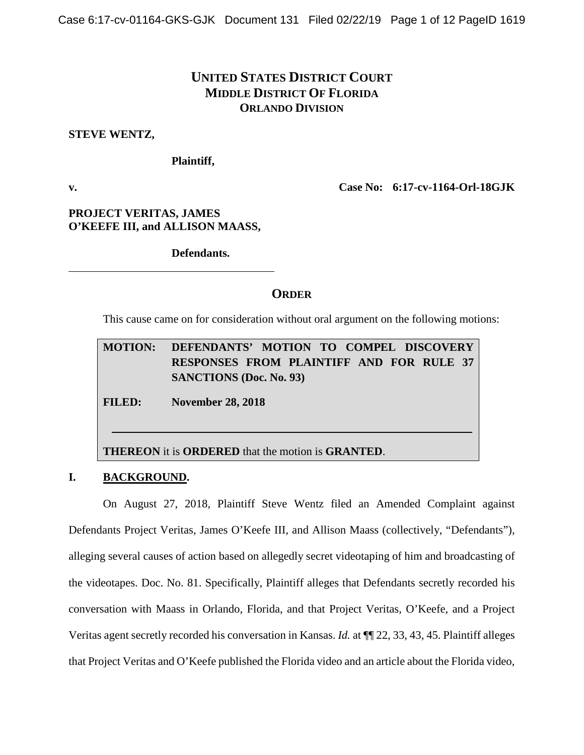# **UNITED STATES DISTRICT COURT MIDDLE DISTRICT OF FLORIDA ORLANDO DIVISION**

#### **STEVE WENTZ,**

**Plaintiff,**

**v. Case No: 6:17-cv-1164-Orl-18GJK**

**PROJECT VERITAS, JAMES O'KEEFE III, and ALLISON MAASS,** 

**Defendants.**

## **ORDER**

This cause came on for consideration without oral argument on the following motions:

# **MOTION: DEFENDANTS' MOTION TO COMPEL DISCOVERY RESPONSES FROM PLAINTIFF AND FOR RULE 37 SANCTIONS (Doc. No. 93)**

**FILED: November 28, 2018**

**THEREON** it is **ORDERED** that the motion is **GRANTED**.

## **I. BACKGROUND.**

On August 27, 2018, Plaintiff Steve Wentz filed an Amended Complaint against Defendants Project Veritas, James O'Keefe III, and Allison Maass (collectively, "Defendants"), alleging several causes of action based on allegedly secret videotaping of him and broadcasting of the videotapes. Doc. No. 81. Specifically, Plaintiff alleges that Defendants secretly recorded his conversation with Maass in Orlando, Florida, and that Project Veritas, O'Keefe, and a Project Veritas agent secretly recorded his conversation in Kansas. *Id.* at ¶¶ 22, 33, 43, 45. Plaintiff alleges that Project Veritas and O'Keefe published the Florida video and an article about the Florida video,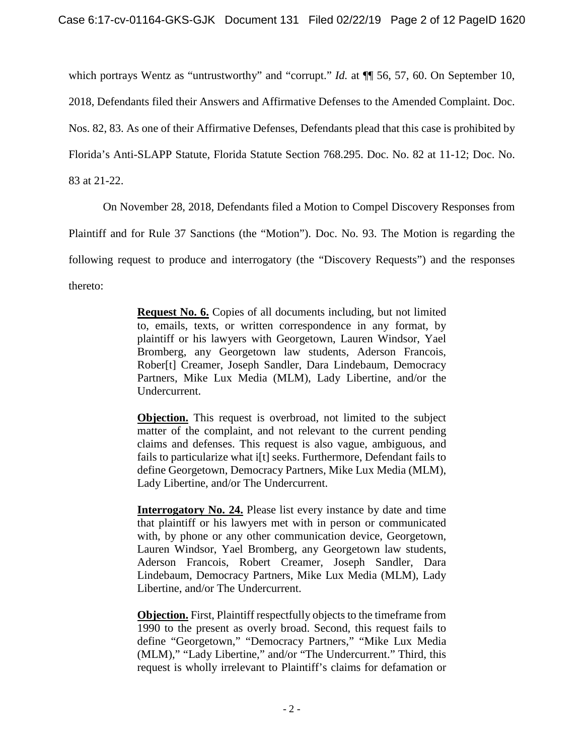which portrays Wentz as "untrustworthy" and "corrupt." *Id.* at  $\P$  56, 57, 60. On September 10, 2018, Defendants filed their Answers and Affirmative Defenses to the Amended Complaint. Doc. Nos. 82, 83. As one of their Affirmative Defenses, Defendants plead that this case is prohibited by Florida's Anti-SLAPP Statute, Florida Statute Section 768.295. Doc. No. 82 at 11-12; Doc. No. 83 at 21-22.

On November 28, 2018, Defendants filed a Motion to Compel Discovery Responses from

Plaintiff and for Rule 37 Sanctions (the "Motion"). Doc. No. 93. The Motion is regarding the

following request to produce and interrogatory (the "Discovery Requests") and the responses

thereto:

**Request No. 6.** Copies of all documents including, but not limited to, emails, texts, or written correspondence in any format, by plaintiff or his lawyers with Georgetown, Lauren Windsor, Yael Bromberg, any Georgetown law students, Aderson Francois, Rober[t] Creamer, Joseph Sandler, Dara Lindebaum, Democracy Partners, Mike Lux Media (MLM), Lady Libertine, and/or the Undercurrent.

**Objection.** This request is overbroad, not limited to the subject matter of the complaint, and not relevant to the current pending claims and defenses. This request is also vague, ambiguous, and fails to particularize what i[t] seeks. Furthermore, Defendant fails to define Georgetown, Democracy Partners, Mike Lux Media (MLM), Lady Libertine, and/or The Undercurrent.

**Interrogatory No. 24.** Please list every instance by date and time that plaintiff or his lawyers met with in person or communicated with, by phone or any other communication device, Georgetown, Lauren Windsor, Yael Bromberg, any Georgetown law students, Aderson Francois, Robert Creamer, Joseph Sandler, Dara Lindebaum, Democracy Partners, Mike Lux Media (MLM), Lady Libertine, and/or The Undercurrent.

**Objection.** First, Plaintiff respectfully objects to the timeframe from 1990 to the present as overly broad. Second, this request fails to define "Georgetown," "Democracy Partners," "Mike Lux Media (MLM)," "Lady Libertine," and/or "The Undercurrent." Third, this request is wholly irrelevant to Plaintiff's claims for defamation or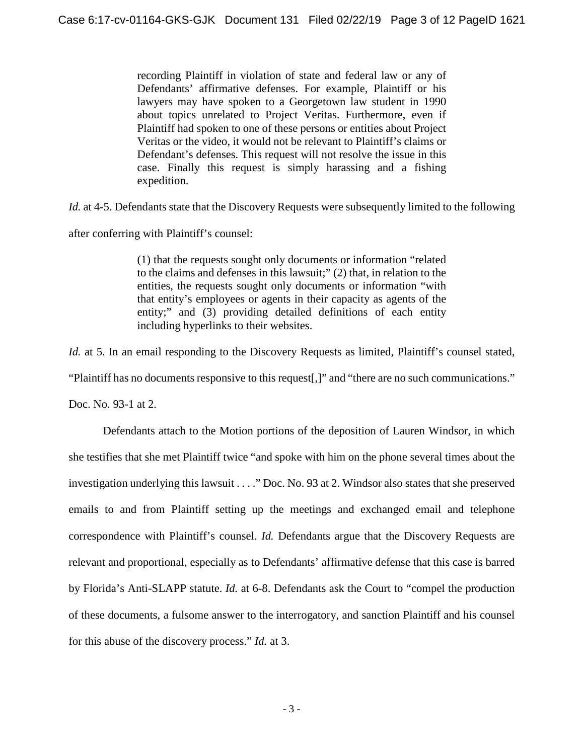recording Plaintiff in violation of state and federal law or any of Defendants' affirmative defenses. For example, Plaintiff or his lawyers may have spoken to a Georgetown law student in 1990 about topics unrelated to Project Veritas. Furthermore, even if Plaintiff had spoken to one of these persons or entities about Project Veritas or the video, it would not be relevant to Plaintiff's claims or Defendant's defenses. This request will not resolve the issue in this case. Finally this request is simply harassing and a fishing expedition.

*Id.* at 4-5. Defendants state that the Discovery Requests were subsequently limited to the following

after conferring with Plaintiff's counsel:

(1) that the requests sought only documents or information "related to the claims and defenses in this lawsuit;" (2) that, in relation to the entities, the requests sought only documents or information "with that entity's employees or agents in their capacity as agents of the entity;" and (3) providing detailed definitions of each entity including hyperlinks to their websites.

*Id.* at 5. In an email responding to the Discovery Requests as limited, Plaintiff's counsel stated, "Plaintiff has no documents responsive to this request[,]" and "there are no such communications."

Doc. No. 93-1 at 2.

Defendants attach to the Motion portions of the deposition of Lauren Windsor, in which she testifies that she met Plaintiff twice "and spoke with him on the phone several times about the investigation underlying this lawsuit . . . ." Doc. No. 93 at 2. Windsor also states that she preserved emails to and from Plaintiff setting up the meetings and exchanged email and telephone correspondence with Plaintiff's counsel. *Id.* Defendants argue that the Discovery Requests are relevant and proportional, especially as to Defendants' affirmative defense that this case is barred by Florida's Anti-SLAPP statute. *Id.* at 6-8. Defendants ask the Court to "compel the production of these documents, a fulsome answer to the interrogatory, and sanction Plaintiff and his counsel for this abuse of the discovery process." *Id.* at 3.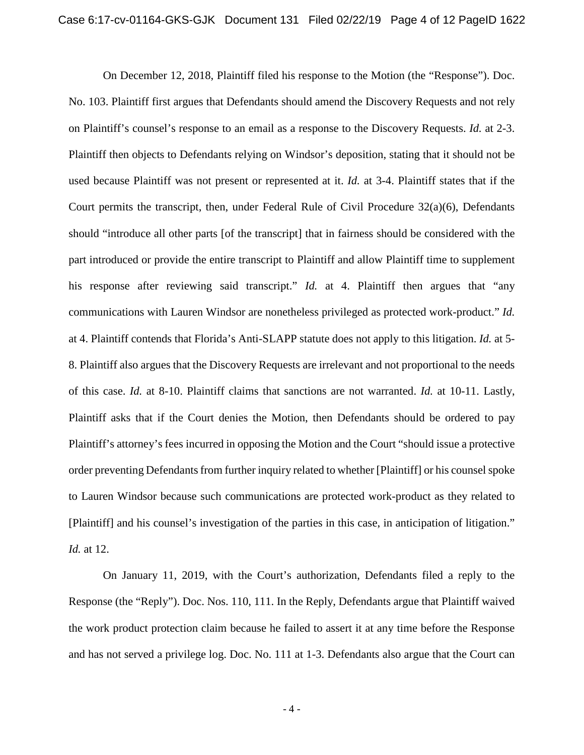On December 12, 2018, Plaintiff filed his response to the Motion (the "Response"). Doc. No. 103. Plaintiff first argues that Defendants should amend the Discovery Requests and not rely on Plaintiff's counsel's response to an email as a response to the Discovery Requests. *Id.* at 2-3. Plaintiff then objects to Defendants relying on Windsor's deposition, stating that it should not be used because Plaintiff was not present or represented at it. *Id.* at 3-4. Plaintiff states that if the Court permits the transcript, then, under Federal Rule of Civil Procedure  $32(a)(6)$ , Defendants should "introduce all other parts [of the transcript] that in fairness should be considered with the part introduced or provide the entire transcript to Plaintiff and allow Plaintiff time to supplement his response after reviewing said transcript." *Id.* at 4. Plaintiff then argues that "any communications with Lauren Windsor are nonetheless privileged as protected work-product." *Id.* at 4. Plaintiff contends that Florida's Anti-SLAPP statute does not apply to this litigation. *Id.* at 5- 8. Plaintiff also argues that the Discovery Requests are irrelevant and not proportional to the needs of this case. *Id.* at 8-10. Plaintiff claims that sanctions are not warranted. *Id.* at 10-11. Lastly, Plaintiff asks that if the Court denies the Motion, then Defendants should be ordered to pay Plaintiff's attorney's fees incurred in opposing the Motion and the Court "should issue a protective order preventing Defendants from further inquiry related to whether [Plaintiff] or his counsel spoke to Lauren Windsor because such communications are protected work-product as they related to [Plaintiff] and his counsel's investigation of the parties in this case, in anticipation of litigation." *Id.* at 12.

On January 11, 2019, with the Court's authorization, Defendants filed a reply to the Response (the "Reply"). Doc. Nos. 110, 111. In the Reply, Defendants argue that Plaintiff waived the work product protection claim because he failed to assert it at any time before the Response and has not served a privilege log. Doc. No. 111 at 1-3. Defendants also argue that the Court can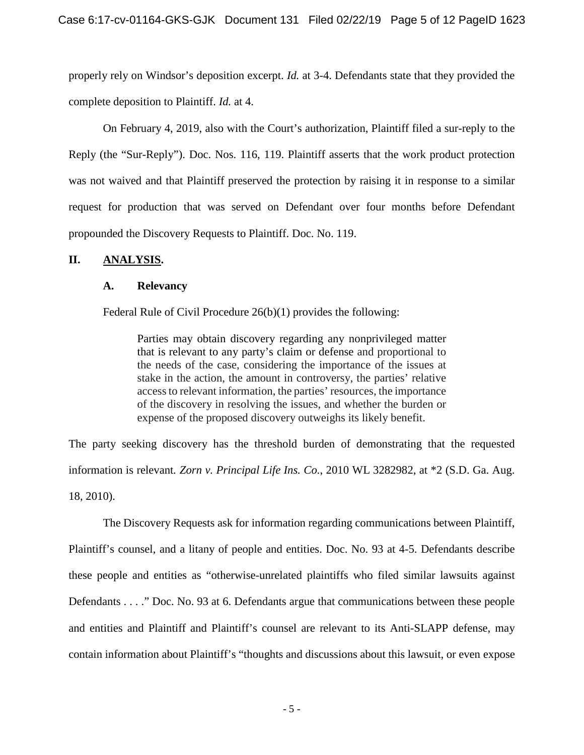properly rely on Windsor's deposition excerpt. *Id.* at 3-4. Defendants state that they provided the complete deposition to Plaintiff. *Id.* at 4.

On February 4, 2019, also with the Court's authorization, Plaintiff filed a sur-reply to the Reply (the "Sur-Reply"). Doc. Nos. 116, 119. Plaintiff asserts that the work product protection was not waived and that Plaintiff preserved the protection by raising it in response to a similar request for production that was served on Defendant over four months before Defendant propounded the Discovery Requests to Plaintiff. Doc. No. 119.

## **II. ANALYSIS.**

### **A. Relevancy**

Federal Rule of Civil Procedure 26(b)(1) provides the following:

Parties may obtain discovery regarding any nonprivileged matter that is relevant to any party's claim or defense and proportional to the needs of the case, considering the importance of the issues at stake in the action, the amount in controversy, the parties' relative access to relevant information, the parties' resources, the importance of the discovery in resolving the issues, and whether the burden or expense of the proposed discovery outweighs its likely benefit.

The party seeking discovery has the threshold burden of demonstrating that the requested information is relevant*. Zorn v. Principal Life Ins. Co.*, 2010 WL 3282982, at \*2 (S.D. Ga. Aug. 18, 2010).

The Discovery Requests ask for information regarding communications between Plaintiff, Plaintiff's counsel, and a litany of people and entities. Doc. No. 93 at 4-5. Defendants describe these people and entities as "otherwise-unrelated plaintiffs who filed similar lawsuits against Defendants . . . ." Doc. No. 93 at 6. Defendants argue that communications between these people and entities and Plaintiff and Plaintiff's counsel are relevant to its Anti-SLAPP defense, may contain information about Plaintiff's "thoughts and discussions about this lawsuit, or even expose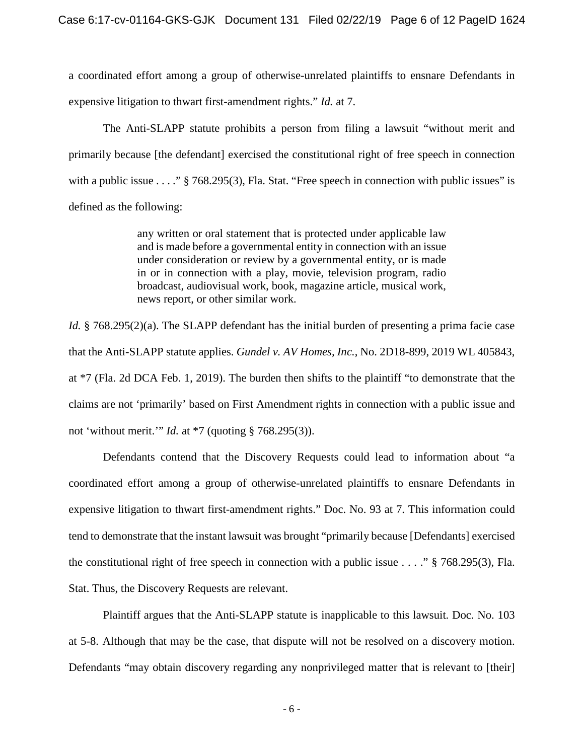a coordinated effort among a group of otherwise-unrelated plaintiffs to ensnare Defendants in expensive litigation to thwart first-amendment rights." *Id.* at 7.

The Anti-SLAPP statute prohibits a person from filing a lawsuit "without merit and primarily because [the defendant] exercised the constitutional right of free speech in connection with a public issue . . . . " § 768.295(3), Fla. Stat. "Free speech in connection with public issues" is defined as the following:

> any written or oral statement that is protected under applicable law and is made before a governmental entity in connection with an issue under consideration or review by a governmental entity, or is made in or in connection with a play, movie, television program, radio broadcast, audiovisual work, book, magazine article, musical work, news report, or other similar work.

*Id.* § 768.295(2)(a). The SLAPP defendant has the initial burden of presenting a prima facie case that the Anti-SLAPP statute applies. *Gundel v. AV Homes, Inc.*, No. 2D18-899, 2019 WL 405843, at \*7 (Fla. 2d DCA Feb. 1, 2019). The burden then shifts to the plaintiff "to demonstrate that the claims are not 'primarily' based on First Amendment rights in connection with a public issue and not 'without merit.'" *Id.* at \*7 (quoting § 768.295(3)).

Defendants contend that the Discovery Requests could lead to information about "a coordinated effort among a group of otherwise-unrelated plaintiffs to ensnare Defendants in expensive litigation to thwart first-amendment rights." Doc. No. 93 at 7. This information could tend to demonstrate that the instant lawsuit was brought "primarily because [Defendants] exercised the constitutional right of free speech in connection with a public issue  $\dots$  ." § 768.295(3), Fla. Stat. Thus, the Discovery Requests are relevant.

Plaintiff argues that the Anti-SLAPP statute is inapplicable to this lawsuit. Doc. No. 103 at 5-8. Although that may be the case, that dispute will not be resolved on a discovery motion. Defendants "may obtain discovery regarding any nonprivileged matter that is relevant to [their]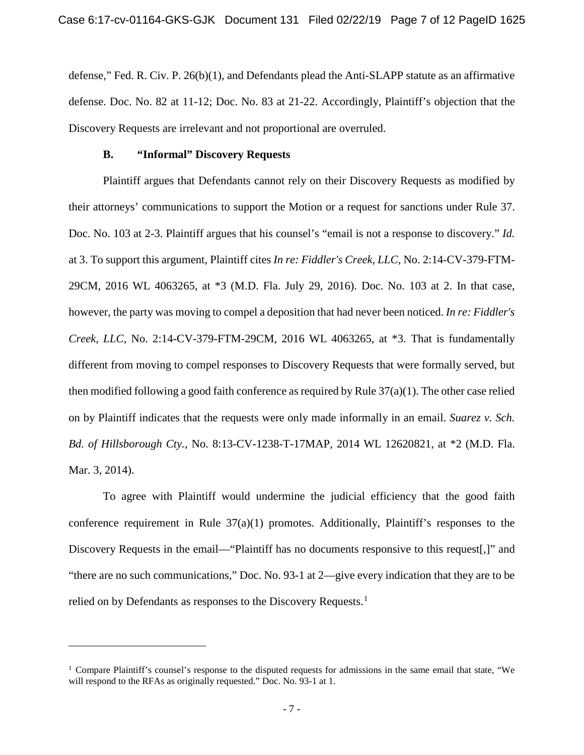defense," Fed. R. Civ. P. 26(b)(1), and Defendants plead the Anti-SLAPP statute as an affirmative defense. Doc. No. 82 at 11-12; Doc. No. 83 at 21-22. Accordingly, Plaintiff's objection that the Discovery Requests are irrelevant and not proportional are overruled.

#### **B. "Informal" Discovery Requests**

 $\overline{a}$ 

Plaintiff argues that Defendants cannot rely on their Discovery Requests as modified by their attorneys' communications to support the Motion or a request for sanctions under Rule 37. Doc. No. 103 at 2-3. Plaintiff argues that his counsel's "email is not a response to discovery." *Id.* at 3. To support this argument, Plaintiff cites *In re: Fiddler's Creek, LLC*, No. 2:14-CV-379-FTM-29CM, 2016 WL 4063265, at \*3 (M.D. Fla. July 29, 2016). Doc. No. 103 at 2. In that case, however, the party was moving to compel a deposition that had never been noticed. *In re: Fiddler's Creek, LLC*, No. 2:14-CV-379-FTM-29CM, 2016 WL 4063265, at \*3. That is fundamentally different from moving to compel responses to Discovery Requests that were formally served, but then modified following a good faith conference as required by Rule 37(a)(1). The other case relied on by Plaintiff indicates that the requests were only made informally in an email. *Suarez v. Sch. Bd. of Hillsborough Cty.*, No. 8:13-CV-1238-T-17MAP, 2014 WL 12620821, at \*2 (M.D. Fla. Mar. 3, 2014).

To agree with Plaintiff would undermine the judicial efficiency that the good faith conference requirement in Rule  $37(a)(1)$  promotes. Additionally, Plaintiff's responses to the Discovery Requests in the email—"Plaintiff has no documents responsive to this request[,]" and "there are no such communications," Doc. No. 93-1 at 2—give every indication that they are to be relied on by Defendants as responses to the Discovery Requests.<sup>[1](#page-6-0)</sup>

<span id="page-6-0"></span><sup>&</sup>lt;sup>1</sup> Compare Plaintiff's counsel's response to the disputed requests for admissions in the same email that state, "We will respond to the RFAs as originally requested." Doc. No. 93-1 at 1.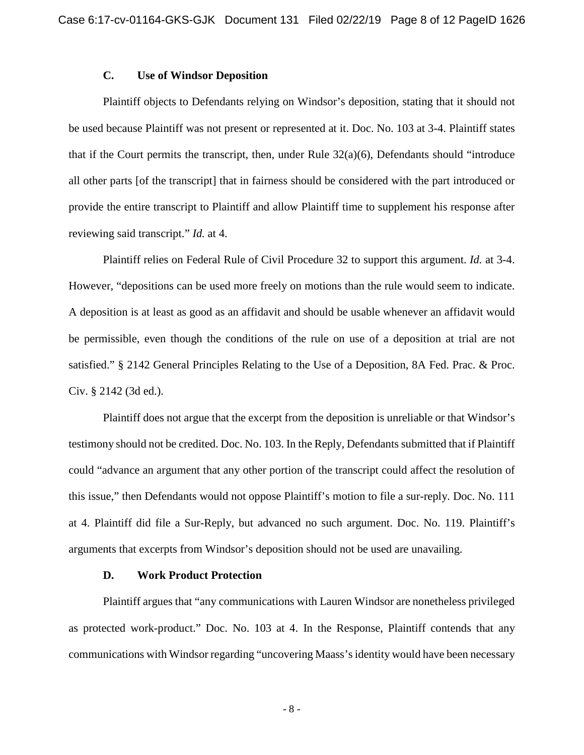#### **C. Use of Windsor Deposition**

Plaintiff objects to Defendants relying on Windsor's deposition, stating that it should not be used because Plaintiff was not present or represented at it. Doc. No. 103 at 3-4. Plaintiff states that if the Court permits the transcript, then, under Rule  $32(a)(6)$ , Defendants should "introduce" all other parts [of the transcript] that in fairness should be considered with the part introduced or provide the entire transcript to Plaintiff and allow Plaintiff time to supplement his response after reviewing said transcript." *Id.* at 4.

Plaintiff relies on Federal Rule of Civil Procedure 32 to support this argument. *Id.* at 3-4. However, "depositions can be used more freely on motions than the rule would seem to indicate. A deposition is at least as good as an affidavit and should be usable whenever an affidavit would be permissible, even though the conditions of the rule on use of a deposition at trial are not satisfied." § 2142 General Principles Relating to the Use of a Deposition, 8A Fed. Prac. & Proc. Civ. § 2142 (3d ed.).

Plaintiff does not argue that the excerpt from the deposition is unreliable or that Windsor's testimony should not be credited. Doc. No. 103. In the Reply, Defendants submitted that if Plaintiff could "advance an argument that any other portion of the transcript could affect the resolution of this issue," then Defendants would not oppose Plaintiff's motion to file a sur-reply. Doc. No. 111 at 4. Plaintiff did file a Sur-Reply, but advanced no such argument. Doc. No. 119. Plaintiff's arguments that excerpts from Windsor's deposition should not be used are unavailing.

#### **D. Work Product Protection**

Plaintiff argues that "any communications with Lauren Windsor are nonetheless privileged as protected work-product." Doc. No. 103 at 4. In the Response, Plaintiff contends that any communications with Windsor regarding "uncovering Maass's identity would have been necessary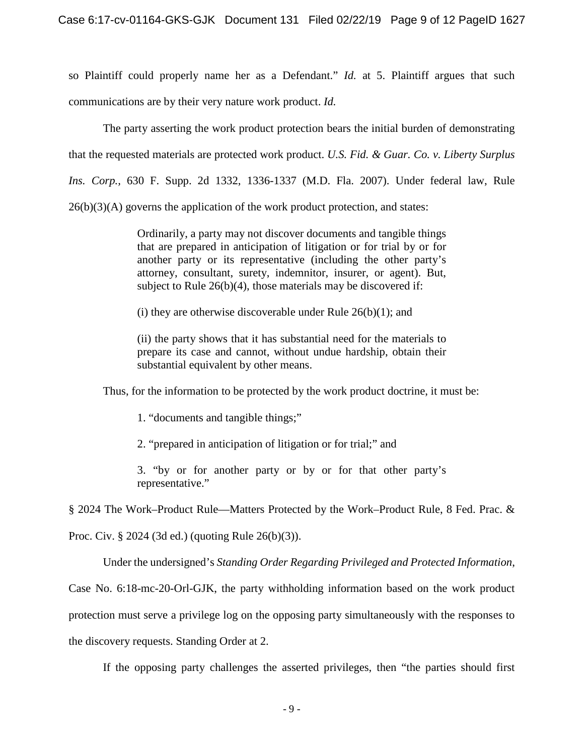so Plaintiff could properly name her as a Defendant." *Id.* at 5. Plaintiff argues that such communications are by their very nature work product. *Id.*

The party asserting the work product protection bears the initial burden of demonstrating that the requested materials are protected work product. *U.S. Fid. & Guar. Co. v. Liberty Surplus Ins. Corp.,* 630 F. Supp. 2d 1332, 1336-1337 (M.D. Fla. 2007). Under federal law, Rule  $26(b)(3)(A)$  governs the application of the work product protection, and states:

> Ordinarily, a party may not discover documents and tangible things that are prepared in anticipation of litigation or for trial by or for another party or its representative (including the other party's attorney, consultant, surety, indemnitor, insurer, or agent). But, subject to Rule 26(b)(4), those materials may be discovered if:

(i) they are otherwise discoverable under Rule  $26(b)(1)$ ; and

(ii) the party shows that it has substantial need for the materials to prepare its case and cannot, without undue hardship, obtain their substantial equivalent by other means.

Thus, for the information to be protected by the work product doctrine, it must be:

1. "documents and tangible things;"

2. "prepared in anticipation of litigation or for trial;" and

3. "by or for another party or by or for that other party's representative."

§ 2024 The Work–Product Rule—Matters Protected by the Work–Product Rule, 8 Fed. Prac. &

Proc. Civ. § 2024 (3d ed.) (quoting Rule 26(b)(3)).

Under the undersigned's *Standing Order Regarding Privileged and Protected Information*,

Case No. 6:18-mc-20-Orl-GJK, the party withholding information based on the work product

protection must serve a privilege log on the opposing party simultaneously with the responses to

the discovery requests. Standing Order at 2.

If the opposing party challenges the asserted privileges, then "the parties should first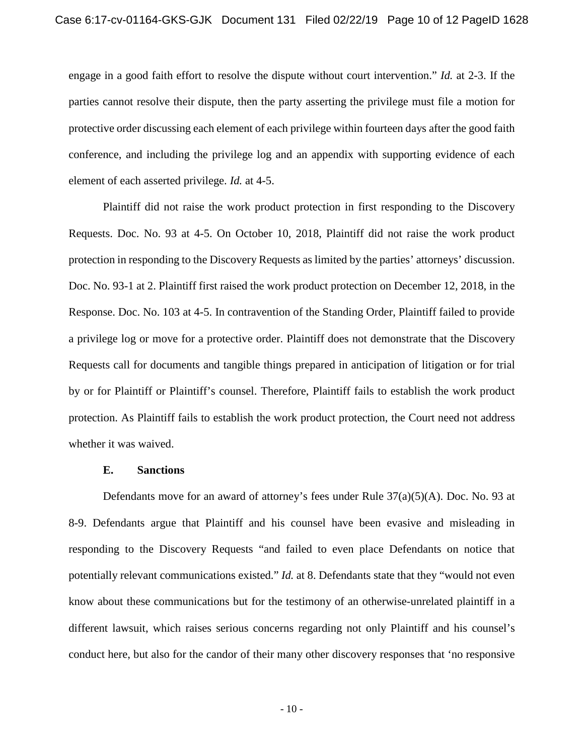engage in a good faith effort to resolve the dispute without court intervention." *Id.* at 2-3. If the parties cannot resolve their dispute, then the party asserting the privilege must file a motion for protective order discussing each element of each privilege within fourteen days after the good faith conference, and including the privilege log and an appendix with supporting evidence of each element of each asserted privilege. *Id.* at 4-5.

Plaintiff did not raise the work product protection in first responding to the Discovery Requests. Doc. No. 93 at 4-5. On October 10, 2018, Plaintiff did not raise the work product protection in responding to the Discovery Requests as limited by the parties' attorneys' discussion. Doc. No. 93-1 at 2. Plaintiff first raised the work product protection on December 12, 2018, in the Response. Doc. No. 103 at 4-5. In contravention of the Standing Order, Plaintiff failed to provide a privilege log or move for a protective order. Plaintiff does not demonstrate that the Discovery Requests call for documents and tangible things prepared in anticipation of litigation or for trial by or for Plaintiff or Plaintiff's counsel. Therefore, Plaintiff fails to establish the work product protection. As Plaintiff fails to establish the work product protection, the Court need not address whether it was waived.

#### **E. Sanctions**

Defendants move for an award of attorney's fees under Rule 37(a)(5)(A). Doc. No. 93 at 8-9. Defendants argue that Plaintiff and his counsel have been evasive and misleading in responding to the Discovery Requests "and failed to even place Defendants on notice that potentially relevant communications existed." *Id.* at 8. Defendants state that they "would not even know about these communications but for the testimony of an otherwise-unrelated plaintiff in a different lawsuit, which raises serious concerns regarding not only Plaintiff and his counsel's conduct here, but also for the candor of their many other discovery responses that 'no responsive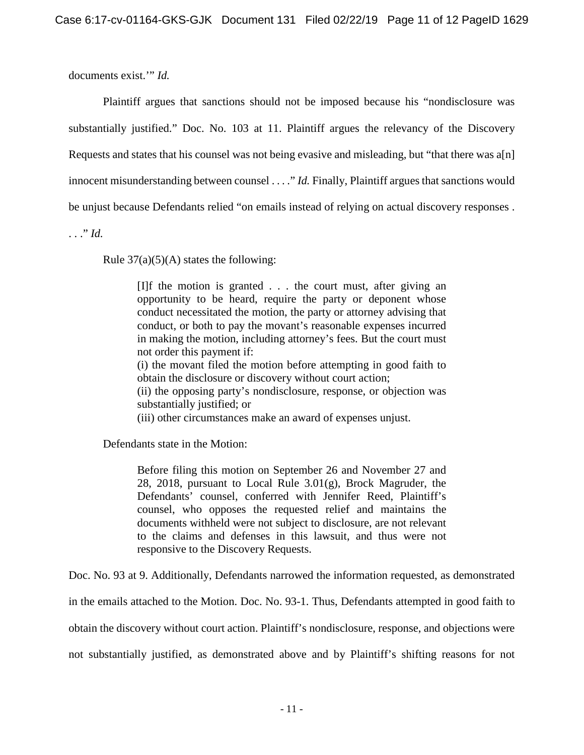documents exist.'" *Id.*

Plaintiff argues that sanctions should not be imposed because his "nondisclosure was substantially justified." Doc. No. 103 at 11. Plaintiff argues the relevancy of the Discovery Requests and states that his counsel was not being evasive and misleading, but "that there was a[n] innocent misunderstanding between counsel . . . ." *Id.* Finally, Plaintiff argues that sanctions would be unjust because Defendants relied "on emails instead of relying on actual discovery responses .

. . ." *Id.*

Rule  $37(a)(5)(A)$  states the following:

[I]f the motion is granted . . . the court must, after giving an opportunity to be heard, require the party or deponent whose conduct necessitated the motion, the party or attorney advising that conduct, or both to pay the movant's reasonable expenses incurred in making the motion, including attorney's fees. But the court must not order this payment if:

(i) the movant filed the motion before attempting in good faith to obtain the disclosure or discovery without court action;

(ii) the opposing party's nondisclosure, response, or objection was substantially justified; or

(iii) other circumstances make an award of expenses unjust.

Defendants state in the Motion:

Before filing this motion on September 26 and November 27 and 28, 2018, pursuant to Local Rule  $3.01(g)$ , Brock Magruder, the Defendants' counsel, conferred with Jennifer Reed, Plaintiff's counsel, who opposes the requested relief and maintains the documents withheld were not subject to disclosure, are not relevant to the claims and defenses in this lawsuit, and thus were not responsive to the Discovery Requests.

Doc. No. 93 at 9. Additionally, Defendants narrowed the information requested, as demonstrated

in the emails attached to the Motion. Doc. No. 93-1. Thus, Defendants attempted in good faith to

obtain the discovery without court action. Plaintiff's nondisclosure, response, and objections were

not substantially justified, as demonstrated above and by Plaintiff's shifting reasons for not